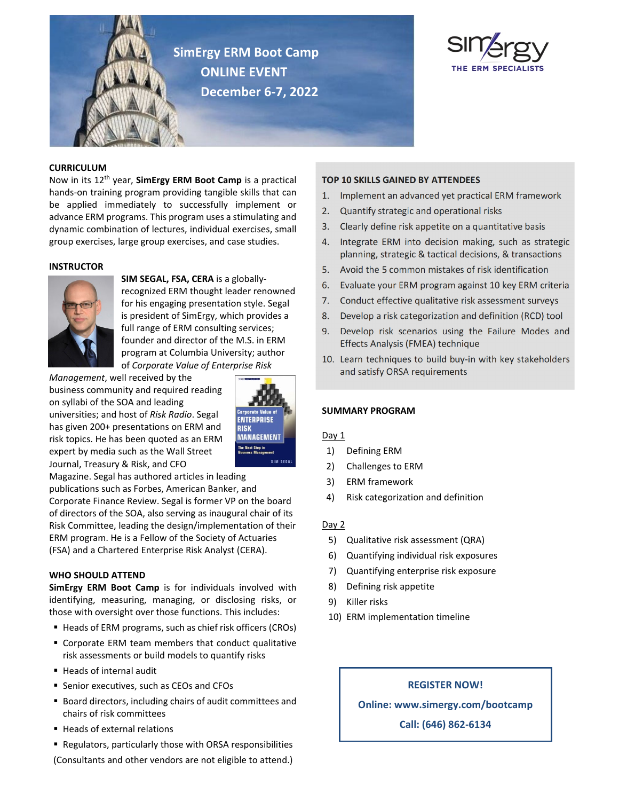

**SimErgy ERM Boot Camp ONLINE EVENT December 6‐7, 2022**



## **CURRICULUM**

Now in its 12th year, **SimErgy ERM Boot Camp** is a practical hands‐on training program providing tangible skills that can be applied immediately to successfully implement or advance ERM programs. This program uses a stimulating and dynamic combination of lectures, individual exercises, small group exercises, large group exercises, and case studies.

#### **INSTRUCTOR**



**SIM SEGAL, FSA, CERA** is a globally‐ recognized ERM thought leader renowned for his engaging presentation style. Segal is president of SimErgy, which provides a full range of ERM consulting services; founder and director of the M.S. in ERM program at Columbia University; author of *Corporate Value of Enterprise Risk*

*Management*, well received by the business community and required reading on syllabi of the SOA and leading universities; and host of *Risk Radio*. Segal has given 200+ presentations on ERM and risk topics. He has been quoted as an ERM expert by media such as the Wall Street Journal, Treasury & Risk, and CFO



Magazine. Segal has authored articles in leading publications such as Forbes, American Banker, and Corporate Finance Review. Segal is former VP on the board of directors of the SOA, also serving as inaugural chair of its Risk Committee, leading the design/implementation of their ERM program. He is a Fellow of the Society of Actuaries (FSA) and a Chartered Enterprise Risk Analyst (CERA).

### **WHO SHOULD ATTEND**

**SimErgy ERM Boot Camp** is for individuals involved with identifying, measuring, managing, or disclosing risks, or those with oversight over those functions. This includes:

- Heads of ERM programs, such as chief risk officers (CROs)
- Corporate ERM team members that conduct qualitative risk assessments or build models to quantify risks
- Heads of internal audit
- **Senior executives, such as CEOs and CFOs**
- Board directors, including chairs of audit committees and chairs of risk committees
- Heads of external relations
- Regulators, particularly those with ORSA responsibilities

## (Consultants and other vendors are not eligible to attend.)

### **TOP 10 SKILLS GAINED BY ATTENDEES**

- 1. Implement an advanced yet practical ERM framework
- 2. Quantify strategic and operational risks
- 3. Clearly define risk appetite on a quantitative basis
- 4. Integrate ERM into decision making, such as strategic planning, strategic & tactical decisions, & transactions
- 5. Avoid the 5 common mistakes of risk identification
- 6. Evaluate your ERM program against 10 key ERM criteria
- 7. Conduct effective qualitative risk assessment surveys
- 8. Develop a risk categorization and definition (RCD) tool
- 9. Develop risk scenarios using the Failure Modes and Effects Analysis (FMEA) technique
- 10. Learn techniques to build buy-in with key stakeholders and satisfy ORSA requirements

### **SUMMARY PROGRAM**

### Day 1

- 1) Defining ERM
- 2) Challenges to ERM
- 3) ERM framework
- 4) Risk categorization and definition

### $Day 2$

- 5) Qualitative risk assessment (QRA)
- 6) Quantifying individual risk exposures
- 7) Quantifying enterprise risk exposure
- 8) Defining risk appetite
- 9) Killer risks
- 10) ERM implementation timeline

## **REGISTER NOW!**

**Online: www.simergy.com/bootcamp**

**Call: (646) 862‐6134**